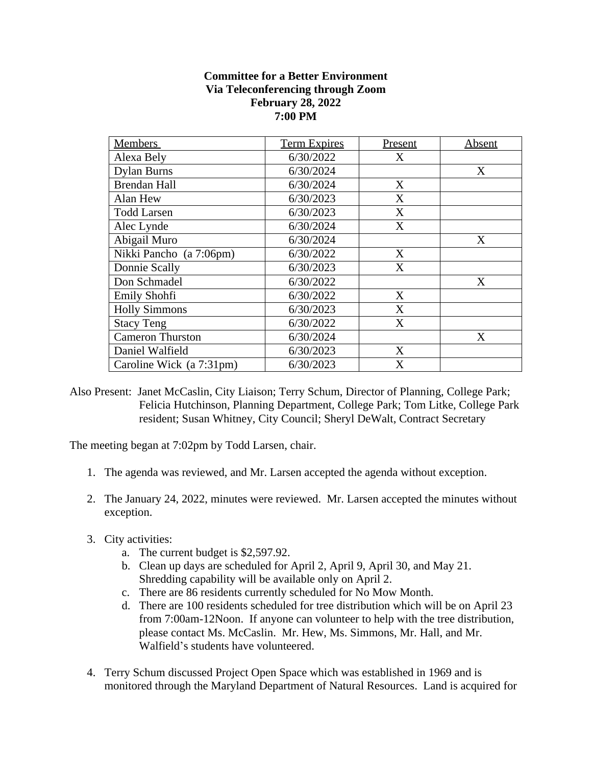## **Committee for a Better Environment Via Teleconferencing through Zoom February 28, 2022 7:00 PM**

| <b>Members</b>           | <b>Term Expires</b> | Present | Absent |
|--------------------------|---------------------|---------|--------|
| Alexa Bely               | 6/30/2022           | X       |        |
| <b>Dylan Burns</b>       | 6/30/2024           |         | X      |
| <b>Brendan Hall</b>      | 6/30/2024           | X       |        |
| Alan Hew                 | 6/30/2023           | X       |        |
| <b>Todd Larsen</b>       | 6/30/2023           | X       |        |
| Alec Lynde               | 6/30/2024           | X       |        |
| Abigail Muro             | 6/30/2024           |         | X      |
| Nikki Pancho (a 7:06pm)  | 6/30/2022           | X       |        |
| Donnie Scally            | 6/30/2023           | X       |        |
| Don Schmadel             | 6/30/2022           |         | X      |
| Emily Shohfi             | 6/30/2022           | X       |        |
| <b>Holly Simmons</b>     | 6/30/2023           | X       |        |
| <b>Stacy Teng</b>        | 6/30/2022           | X       |        |
| <b>Cameron Thurston</b>  | 6/30/2024           |         | X      |
| Daniel Walfield          | 6/30/2023           | X       |        |
| Caroline Wick (a 7:31pm) | 6/30/2023           | X       |        |

Also Present: Janet McCaslin, City Liaison; Terry Schum, Director of Planning, College Park; Felicia Hutchinson, Planning Department, College Park; Tom Litke, College Park resident; Susan Whitney, City Council; Sheryl DeWalt, Contract Secretary

The meeting began at 7:02pm by Todd Larsen, chair.

- 1. The agenda was reviewed, and Mr. Larsen accepted the agenda without exception.
- 2. The January 24, 2022, minutes were reviewed. Mr. Larsen accepted the minutes without exception.
- 3. City activities:
	- a. The current budget is \$2,597.92.
	- b. Clean up days are scheduled for April 2, April 9, April 30, and May 21. Shredding capability will be available only on April 2.
	- c. There are 86 residents currently scheduled for No Mow Month.
	- d. There are 100 residents scheduled for tree distribution which will be on April 23 from 7:00am-12Noon. If anyone can volunteer to help with the tree distribution, please contact Ms. McCaslin. Mr. Hew, Ms. Simmons, Mr. Hall, and Mr. Walfield's students have volunteered.
- 4. Terry Schum discussed Project Open Space which was established in 1969 and is monitored through the Maryland Department of Natural Resources. Land is acquired for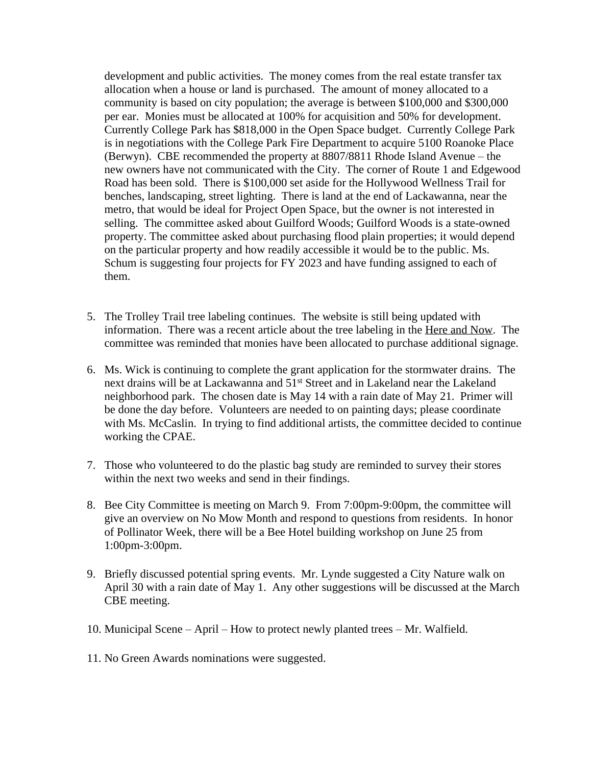development and public activities. The money comes from the real estate transfer tax allocation when a house or land is purchased. The amount of money allocated to a community is based on city population; the average is between \$100,000 and \$300,000 per ear. Monies must be allocated at 100% for acquisition and 50% for development. Currently College Park has \$818,000 in the Open Space budget. Currently College Park is in negotiations with the College Park Fire Department to acquire 5100 Roanoke Place (Berwyn). CBE recommended the property at 8807/8811 Rhode Island Avenue – the new owners have not communicated with the City. The corner of Route 1 and Edgewood Road has been sold. There is \$100,000 set aside for the Hollywood Wellness Trail for benches, landscaping, street lighting. There is land at the end of Lackawanna, near the metro, that would be ideal for Project Open Space, but the owner is not interested in selling. The committee asked about Guilford Woods; Guilford Woods is a state-owned property. The committee asked about purchasing flood plain properties; it would depend on the particular property and how readily accessible it would be to the public. Ms. Schum is suggesting four projects for FY 2023 and have funding assigned to each of them.

- 5. The Trolley Trail tree labeling continues. The website is still being updated with information. There was a recent article about the tree labeling in the Here and Now. The committee was reminded that monies have been allocated to purchase additional signage.
- 6. Ms. Wick is continuing to complete the grant application for the stormwater drains. The next drains will be at Lackawanna and 51st Street and in Lakeland near the Lakeland neighborhood park. The chosen date is May 14 with a rain date of May 21. Primer will be done the day before. Volunteers are needed to on painting days; please coordinate with Ms. McCaslin. In trying to find additional artists, the committee decided to continue working the CPAE.
- 7. Those who volunteered to do the plastic bag study are reminded to survey their stores within the next two weeks and send in their findings.
- 8. Bee City Committee is meeting on March 9. From 7:00pm-9:00pm, the committee will give an overview on No Mow Month and respond to questions from residents. In honor of Pollinator Week, there will be a Bee Hotel building workshop on June 25 from 1:00pm-3:00pm.
- 9. Briefly discussed potential spring events. Mr. Lynde suggested a City Nature walk on April 30 with a rain date of May 1. Any other suggestions will be discussed at the March CBE meeting.
- 10. Municipal Scene April How to protect newly planted trees Mr. Walfield.
- 11. No Green Awards nominations were suggested.